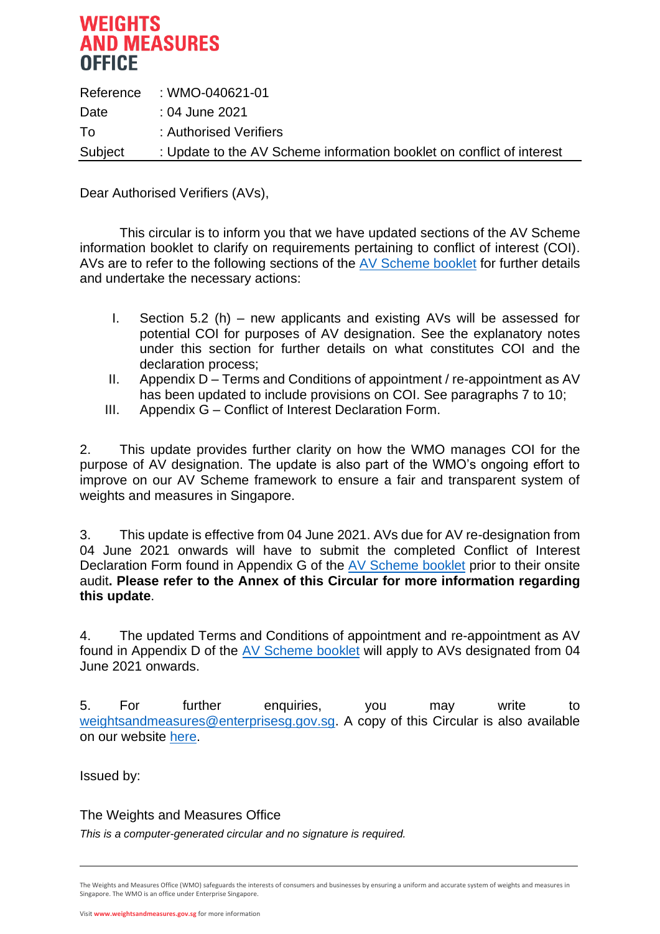# **WEIGHTS AND MEASURES OFFICE**

|         | Reference : WMO-040621-01                                             |
|---------|-----------------------------------------------------------------------|
| Date    | :04 June 2021                                                         |
| T٥      | : Authorised Verifiers                                                |
| Subject | : Update to the AV Scheme information booklet on conflict of interest |

Dear Authorised Verifiers (AVs),

This circular is to inform you that we have updated sections of the AV Scheme information booklet to clarify on requirements pertaining to conflict of interest (COI). AVs are to refer to the following sections of the [AV Scheme booklet](https://www.weightsandmeasures.gov.sg/files/businesses/av_scheme_info_booklet.pdf) for further details and undertake the necessary actions:

- I. Section 5.2 (h) new applicants and existing AVs will be assessed for potential COI for purposes of AV designation. See the explanatory notes under this section for further details on what constitutes COI and the declaration process;
- II. Appendix D Terms and Conditions of appointment / re-appointment as AV has been updated to include provisions on COI. See paragraphs 7 to 10;
- III. Appendix G Conflict of Interest Declaration Form.

2. This update provides further clarity on how the WMO manages COI for the purpose of AV designation. The update is also part of the WMO's ongoing effort to improve on our AV Scheme framework to ensure a fair and transparent system of weights and measures in Singapore.

3. This update is effective from 04 June 2021. AVs due for AV re-designation from 04 June 2021 onwards will have to submit the completed Conflict of Interest Declaration Form found in Appendix G of the [AV Scheme booklet](https://www.weightsandmeasures.gov.sg/files/businesses/av_scheme_info_booklet.pdf) prior to their onsite audit**. Please refer to the Annex of this Circular for more information regarding this update**.

4. The updated Terms and Conditions of appointment and re-appointment as AV found in Appendix D of the [AV Scheme booklet](https://www.weightsandmeasures.gov.sg/files/businesses/av_scheme_info_booklet.pdf) will apply to AVs designated from 04 June 2021 onwards.

5. For further enquiries, you may write to [weightsandmeasures@enterprisesg.gov.sg.](mailto:weightsandmeasures@enterprisesg.gov.sg) A copy of this Circular is also available on our website [here.](https://www.weightsandmeasures.gov.sg/news-and-media/circulars/change-in-authority%E2%80%99s-name-from-the-consumer-protection-weights-and-measures-division-to-the-weights-and-measures-office)

Issued by:

The Weights and Measures Office

*This is a computer-generated circular and no signature is required.*

The Weights and Measures Office (WMO) safeguards the interests of consumers and businesses by ensuring a uniform and accurate system of weights and measures in Singapore. The WMO is an office under Enterprise Singapore.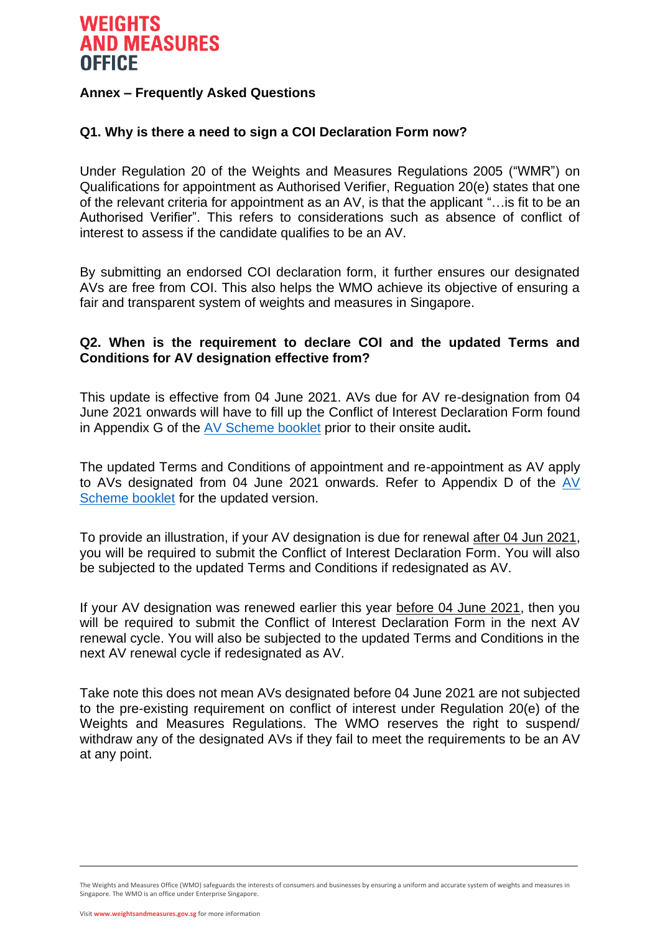# **WEIGHTS AND MEASURES OFFICE**

# **Annex – Frequently Asked Questions**

# **Q1. Why is there a need to sign a COI Declaration Form now?**

Under Regulation 20 of the Weights and Measures Regulations 2005 ("WMR") on Qualifications for appointment as Authorised Verifier, Reguation 20(e) states that one of the relevant criteria for appointment as an AV, is that the applicant "…is fit to be an Authorised Verifier". This refers to considerations such as absence of conflict of interest to assess if the candidate qualifies to be an AV.

By submitting an endorsed COI declaration form, it further ensures our designated AVs are free from COI. This also helps the WMO achieve its objective of ensuring a fair and transparent system of weights and measures in Singapore.

# **Q2. When is the requirement to declare COI and the updated Terms and Conditions for AV designation effective from?**

This update is effective from 04 June 2021. AVs due for AV re-designation from 04 June 2021 onwards will have to fill up the Conflict of Interest Declaration Form found in Appendix G of the [AV Scheme booklet](https://www.weightsandmeasures.gov.sg/files/businesses/av_scheme_info_booklet.pdf) prior to their onsite audit**.**

The updated Terms and Conditions of appointment and re-appointment as AV apply to AVs designated from 04 June 2021 onwards. Refer to Appendix D of the [AV](https://www.weightsandmeasures.gov.sg/files/businesses/av_scheme_info_booklet.pdf)  [Scheme booklet](https://www.weightsandmeasures.gov.sg/files/businesses/av_scheme_info_booklet.pdf) for the updated version.

To provide an illustration, if your AV designation is due for renewal after 04 Jun 2021, you will be required to submit the Conflict of Interest Declaration Form. You will also be subjected to the updated Terms and Conditions if redesignated as AV.

If your AV designation was renewed earlier this year before 04 June 2021, then you will be required to submit the Conflict of Interest Declaration Form in the next AV renewal cycle. You will also be subjected to the updated Terms and Conditions in the next AV renewal cycle if redesignated as AV.

Take note this does not mean AVs designated before 04 June 2021 are not subjected to the pre-existing requirement on conflict of interest under Regulation 20(e) of the Weights and Measures Regulations. The WMO reserves the right to suspend/ withdraw any of the designated AVs if they fail to meet the requirements to be an AV at any point.

The Weights and Measures Office (WMO) safeguards the interests of consumers and businesses by ensuring a uniform and accurate system of weights and measures in Singapore. The WMO is an office under Enterprise Singapore.